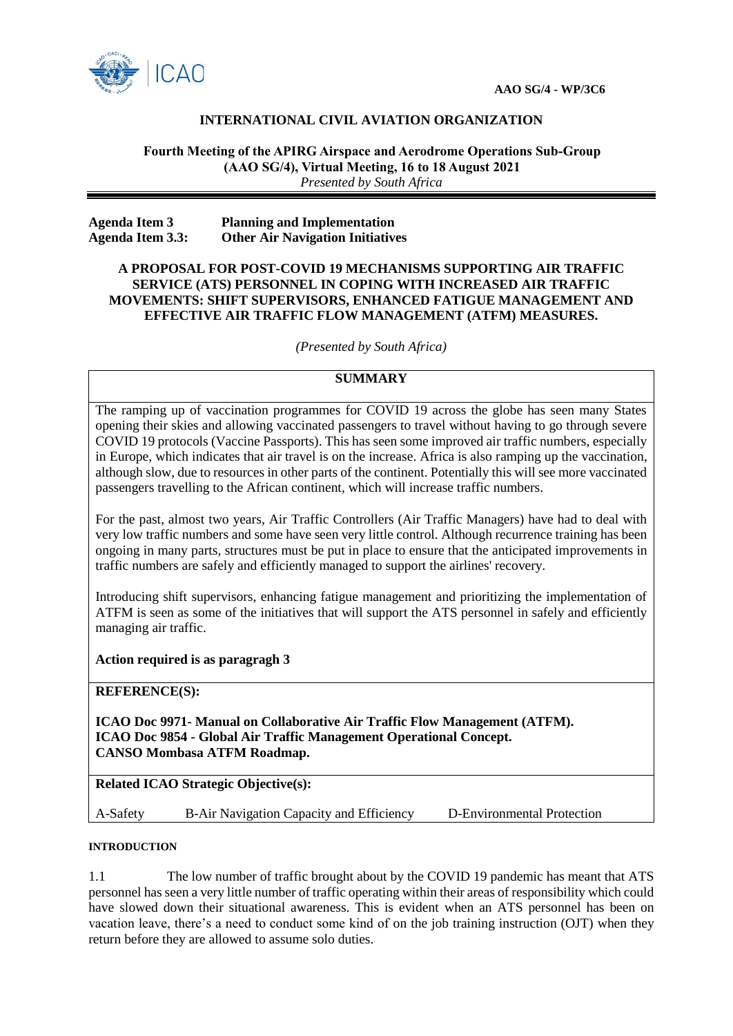

# **INTERNATIONAL CIVIL AVIATION ORGANIZATION**

## **Fourth Meeting of the APIRG Airspace and Aerodrome Operations Sub-Group (AAO SG/4), Virtual Meeting, 16 to 18 August 2021** *Presented by South Africa*

| <b>Agenda Item 3</b>    | <b>Planning and Implementation</b>      |
|-------------------------|-----------------------------------------|
| <b>Agenda Item 3.3:</b> | <b>Other Air Navigation Initiatives</b> |

## **A PROPOSAL FOR POST-COVID 19 MECHANISMS SUPPORTING AIR TRAFFIC SERVICE (ATS) PERSONNEL IN COPING WITH INCREASED AIR TRAFFIC MOVEMENTS: SHIFT SUPERVISORS, ENHANCED FATIGUE MANAGEMENT AND EFFECTIVE AIR TRAFFIC FLOW MANAGEMENT (ATFM) MEASURES.**

*(Presented by South Africa)*

# **SUMMARY**

The ramping up of vaccination programmes for COVID 19 across the globe has seen many States opening their skies and allowing vaccinated passengers to travel without having to go through severe COVID 19 protocols (Vaccine Passports). This has seen some improved air traffic numbers, especially in Europe, which indicates that air travel is on the increase. Africa is also ramping up the vaccination, although slow, due to resources in other parts of the continent. Potentially this will see more vaccinated passengers travelling to the African continent, which will increase traffic numbers.

For the past, almost two years, Air Traffic Controllers (Air Traffic Managers) have had to deal with very low traffic numbers and some have seen very little control. Although recurrence training has been ongoing in many parts, structures must be put in place to ensure that the anticipated improvements in traffic numbers are safely and efficiently managed to support the airlines' recovery.

Introducing shift supervisors, enhancing fatigue management and prioritizing the implementation of ATFM is seen as some of the initiatives that will support the ATS personnel in safely and efficiently managing air traffic.

### **Action required is as paragragh 3**

### **REFERENCE(S):**

**ICAO Doc 9971- Manual on Collaborative Air Traffic Flow Management (ATFM). ICAO Doc 9854 - Global Air Traffic Management Operational Concept. CANSO Mombasa ATFM Roadmap.**

## **Related ICAO Strategic Objective(s):**

A-Safety B-Air Navigation Capacity and Efficiency D-Environmental Protection

#### **INTRODUCTION**

1.1 The low number of traffic brought about by the COVID 19 pandemic has meant that ATS personnel has seen a very little number of traffic operating within their areas of responsibility which could have slowed down their situational awareness. This is evident when an ATS personnel has been on vacation leave, there's a need to conduct some kind of on the job training instruction (OJT) when they return before they are allowed to assume solo duties.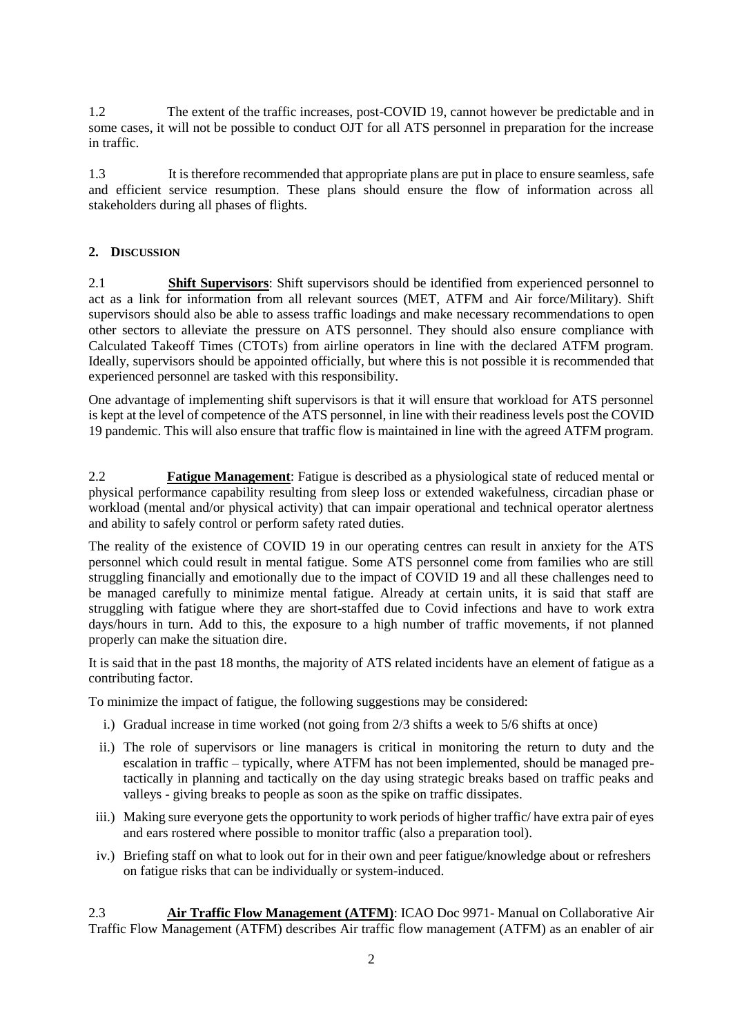1.2 The extent of the traffic increases, post-COVID 19, cannot however be predictable and in some cases, it will not be possible to conduct OJT for all ATS personnel in preparation for the increase in traffic.

1.3 It is therefore recommended that appropriate plans are put in place to ensure seamless, safe and efficient service resumption. These plans should ensure the flow of information across all stakeholders during all phases of flights.

# **2. DISCUSSION**

2.1 **Shift Supervisors**: Shift supervisors should be identified from experienced personnel to act as a link for information from all relevant sources (MET, ATFM and Air force/Military). Shift supervisors should also be able to assess traffic loadings and make necessary recommendations to open other sectors to alleviate the pressure on ATS personnel. They should also ensure compliance with Calculated Takeoff Times (CTOTs) from airline operators in line with the declared ATFM program. Ideally, supervisors should be appointed officially, but where this is not possible it is recommended that experienced personnel are tasked with this responsibility.

One advantage of implementing shift supervisors is that it will ensure that workload for ATS personnel is kept at the level of competence of the ATS personnel, in line with their readiness levels post the COVID 19 pandemic. This will also ensure that traffic flow is maintained in line with the agreed ATFM program.

2.2 **Fatigue Management**: Fatigue is described as a physiological state of reduced mental or physical performance capability resulting from sleep loss or extended wakefulness, circadian phase or workload (mental and/or physical activity) that can impair operational and technical operator alertness and ability to safely control or perform safety rated duties.

The reality of the existence of COVID 19 in our operating centres can result in anxiety for the ATS personnel which could result in mental fatigue. Some ATS personnel come from families who are still struggling financially and emotionally due to the impact of COVID 19 and all these challenges need to be managed carefully to minimize mental fatigue. Already at certain units, it is said that staff are struggling with fatigue where they are short-staffed due to Covid infections and have to work extra days/hours in turn. Add to this, the exposure to a high number of traffic movements, if not planned properly can make the situation dire.

It is said that in the past 18 months, the majority of ATS related incidents have an element of fatigue as a contributing factor.

To minimize the impact of fatigue, the following suggestions may be considered:

- i.) Gradual increase in time worked (not going from 2/3 shifts a week to 5/6 shifts at once)
- ii.) The role of supervisors or line managers is critical in monitoring the return to duty and the escalation in traffic – typically, where ATFM has not been implemented, should be managed pretactically in planning and tactically on the day using strategic breaks based on traffic peaks and valleys - giving breaks to people as soon as the spike on traffic dissipates.
- iii.) Making sure everyone gets the opportunity to work periods of higher traffic/ have extra pair of eyes and ears rostered where possible to monitor traffic (also a preparation tool).
- iv.) Briefing staff on what to look out for in their own and peer fatigue/knowledge about or refreshers on fatigue risks that can be individually or system-induced.

2.3 **Air Traffic Flow Management (ATFM)**: ICAO Doc 9971- Manual on Collaborative Air Traffic Flow Management (ATFM) describes Air traffic flow management (ATFM) as an enabler of air